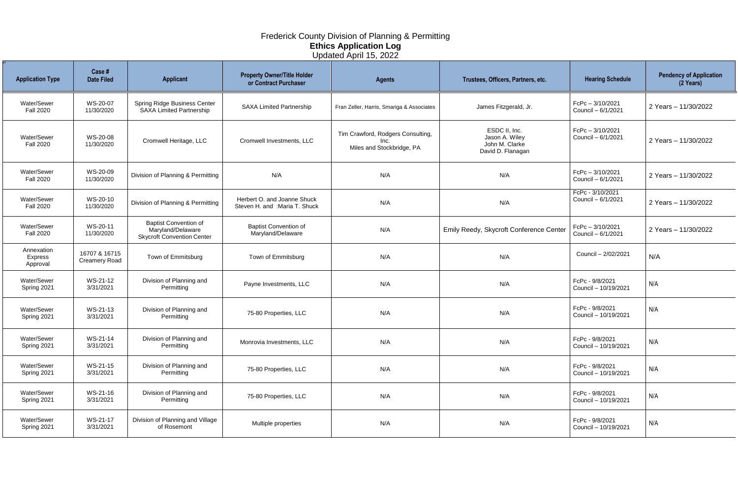| <b>Application Type</b>           | Case #<br><b>Date Filed</b>           | <b>Applicant</b>                                                                       | <b>Property Owner/Title Holder</b><br>or Contract Purchaser   | <b>Agents</b>                                                          | Trustees, Officers, Partners, etc.                                     | <b>Hearing Schedule</b>                  | <b>Pendency of Application</b><br>$(2 \text{ Years})$ |
|-----------------------------------|---------------------------------------|----------------------------------------------------------------------------------------|---------------------------------------------------------------|------------------------------------------------------------------------|------------------------------------------------------------------------|------------------------------------------|-------------------------------------------------------|
| Water/Sewer<br><b>Fall 2020</b>   | WS-20-07<br>11/30/2020                | Spring Ridge Business Center<br><b>SAXA Limited Partnership</b>                        | <b>SAXA Limited Partnership</b>                               | Fran Zeller, Harris, Smariga & Associates                              | James Fitzgerald, Jr.                                                  | FcPc-3/10/2021<br>Council - 6/1/2021     | 2 Years - 11/30/2022                                  |
| Water/Sewer<br><b>Fall 2020</b>   | WS-20-08<br>11/30/2020                | Cromwell Heritage, LLC                                                                 | Cromwell Investments, LLC                                     | Tim Crawford, Rodgers Consulting,<br>Inc.<br>Miles and Stockbridge, PA | ESDC II, Inc.<br>Jason A. Wiley<br>John M. Clarke<br>David D. Flanagan | FcPc-3/10/2021<br>Council - 6/1/2021     | 2 Years - 11/30/2022                                  |
| Water/Sewer<br><b>Fall 2020</b>   | WS-20-09<br>11/30/2020                | Division of Planning & Permitting                                                      | N/A                                                           | N/A                                                                    | N/A                                                                    | $FcPc - 3/10/2021$<br>Council - 6/1/2021 | 2 Years - 11/30/2022                                  |
| Water/Sewer<br><b>Fall 2020</b>   | WS-20-10<br>11/30/2020                | Division of Planning & Permitting                                                      | Herbert O. and Joanne Shuck<br>Steven H. and : Maria T. Shuck | N/A                                                                    | N/A                                                                    | FcPc - 3/10/2021<br>Council - 6/1/2021   | 2 Years - 11/30/2022                                  |
| Water/Sewer<br><b>Fall 2020</b>   | WS-20-11<br>11/30/2020                | <b>Baptist Convention of</b><br>Maryland/Delaware<br><b>Skycroft Convention Center</b> | <b>Baptist Convention of</b><br>Maryland/Delaware             | N/A                                                                    | Emily Reedy, Skycroft Conference Center                                | $FcPc - 3/10/2021$<br>Council - 6/1/2021 | 2 Years - 11/30/2022                                  |
| Annexation<br>Express<br>Approval | 16707 & 16715<br><b>Creamery Road</b> | Town of Emmitsburg                                                                     | Town of Emmitsburg                                            | N/A                                                                    | N/A                                                                    | Council - 2/02/2021                      | N/A                                                   |
| Water/Sewer<br>Spring 2021        | WS-21-12<br>3/31/2021                 | Division of Planning and<br>Permitting                                                 | Payne Investments, LLC                                        | N/A                                                                    | N/A                                                                    | FcPc - 9/8/2021<br>Council - 10/19/2021  | N/A                                                   |
| Water/Sewer<br>Spring 2021        | WS-21-13<br>3/31/2021                 | Division of Planning and<br>Permitting                                                 | 75-80 Properties, LLC                                         | N/A                                                                    | N/A                                                                    | FcPc - 9/8/2021<br>Council - 10/19/2021  | N/A                                                   |
| Water/Sewer<br>Spring 2021        | WS-21-14<br>3/31/2021                 | Division of Planning and<br>Permitting                                                 | Monrovia Investments, LLC                                     | N/A                                                                    | N/A                                                                    | FcPc - 9/8/2021<br>Council - 10/19/2021  | N/A                                                   |
| Water/Sewer<br>Spring 2021        | WS-21-15<br>3/31/2021                 | Division of Planning and<br>Permitting                                                 | 75-80 Properties, LLC                                         | N/A                                                                    | N/A                                                                    | FcPc - 9/8/2021<br>Council - 10/19/2021  | N/A                                                   |
| Water/Sewer<br>Spring 2021        | WS-21-16<br>3/31/2021                 | Division of Planning and<br>Permitting                                                 | 75-80 Properties, LLC                                         | N/A                                                                    | N/A                                                                    | FcPc - 9/8/2021<br>Council - 10/19/2021  | N/A                                                   |
| Water/Sewer<br>Spring 2021        | WS-21-17<br>3/31/2021                 | Division of Planning and Village<br>of Rosemont                                        | Multiple properties                                           | N/A                                                                    | N/A                                                                    | FcPc - 9/8/2021<br>Council - 10/19/2021  | N/A                                                   |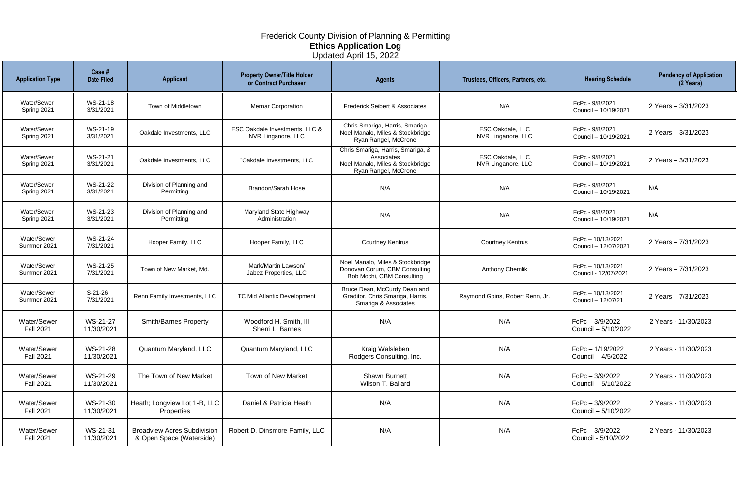| <b>Application Type</b>         | Case #<br><b>Date Filed</b> | <b>Applicant</b>                                               | <b>Property Owner/Title Holder</b><br>or Contract Purchaser | <b>Agents</b>                                                                                               | Trustees, Officers, Partners, etc.            | <b>Hearing Schedule</b>                   | <b>Pendency of Application</b><br>(2 Years) |
|---------------------------------|-----------------------------|----------------------------------------------------------------|-------------------------------------------------------------|-------------------------------------------------------------------------------------------------------------|-----------------------------------------------|-------------------------------------------|---------------------------------------------|
| Water/Sewer<br>Spring 2021      | WS-21-18<br>3/31/2021       | Town of Middletown                                             | <b>Memar Corporation</b>                                    | <b>Frederick Seibert &amp; Associates</b>                                                                   | N/A                                           | FcPc - 9/8/2021<br>Council - 10/19/2021   | 2 Years - 3/31/2023                         |
| Water/Sewer<br>Spring 2021      | WS-21-19<br>3/31/2021       | Oakdale Investments, LLC                                       | ESC Oakdale Investments, LLC &<br>NVR Linganore, LLC        | Chris Smariga, Harris, Smariga<br>Noel Manalo, Miles & Stockbridge<br>Ryan Rangel, McCrone                  | <b>ESC Oakdale, LLC</b><br>NVR Linganore, LLC | FcPc - 9/8/2021<br>Council - 10/19/2021   | 2 Years - 3/31/2023                         |
| Water/Sewer<br>Spring 2021      | WS-21-21<br>3/31/2021       | Oakdale Investments, LLC                                       | 'Oakdale Investments, LLC                                   | Chris Smariga, Harris, Smariga, &<br>Associates<br>Noel Manalo, Miles & Stockbridge<br>Ryan Rangel, McCrone | <b>ESC Oakdale, LLC</b><br>NVR Linganore, LLC | FcPc - 9/8/2021<br>Council - 10/19/2021   | 2 Years - 3/31/2023                         |
| Water/Sewer<br>Spring 2021      | WS-21-22<br>3/31/2021       | Division of Planning and<br>Permitting                         | <b>Brandon/Sarah Hose</b>                                   | N/A                                                                                                         | N/A                                           | FcPc - 9/8/2021<br>Council - 10/19/2021   | N/A                                         |
| Water/Sewer<br>Spring 2021      | WS-21-23<br>3/31/2021       | Division of Planning and<br>Permitting                         | Maryland State Highway<br>Administration                    | N/A                                                                                                         | N/A                                           | FcPc - 9/8/2021<br>Council - 10/19/2021   | N/A                                         |
| Water/Sewer<br>Summer 2021      | WS-21-24<br>7/31/2021       | Hooper Family, LLC                                             | Hooper Family, LLC                                          | <b>Courtney Kentrus</b>                                                                                     | <b>Courtney Kentrus</b>                       | FcPc - 10/13/2021<br>Council - 12/07/2021 | 2 Years - 7/31/2023                         |
| Water/Sewer<br>Summer 2021      | WS-21-25<br>7/31/2021       | Town of New Market, Md.                                        | Mark/Martin Lawson/<br>Jabez Properties, LLC                | Noel Manalo, Miles & Stockbridge<br>Donovan Corum, CBM Consulting<br>Bob Mochi, CBM Consulting              | <b>Anthony Chemlik</b>                        | FcPc-10/13/2021<br>Council - 12/07/2021   | 2 Years - 7/31/2023                         |
| Water/Sewer<br>Summer 2021      | $S-21-26$<br>7/31/2021      | Renn Family Investments, LLC                                   | <b>TC Mid Atlantic Development</b>                          | Bruce Dean, McCurdy Dean and<br>Graditor, Chris Smariga, Harris,<br>Smariga & Associates                    | Raymond Goins, Robert Renn, Jr.               | FcPc - 10/13/2021<br>Council - 12/07/21   | 2 Years - 7/31/2023                         |
| Water/Sewer<br><b>Fall 2021</b> | WS-21-27<br>11/30/2021      | <b>Smith/Barnes Property</b>                                   | Woodford H. Smith, III<br>Sherri L. Barnes                  | N/A                                                                                                         | N/A                                           | $FcPc - 3/9/2022$<br>Council - 5/10/2022  | 2 Years - 11/30/2023                        |
| Water/Sewer<br><b>Fall 2021</b> | WS-21-28<br>11/30/2021      | Quantum Maryland, LLC                                          | Quantum Maryland, LLC                                       | Kraig Walsleben<br>Rodgers Consulting, Inc.                                                                 | N/A                                           | FcPc - 1/19/2022<br>Council - 4/5/2022    | 2 Years - 11/30/2023                        |
| Water/Sewer<br><b>Fall 2021</b> | WS-21-29<br>11/30/2021      | The Town of New Market                                         | <b>Town of New Market</b>                                   | <b>Shawn Burnett</b><br>Wilson T. Ballard                                                                   | N/A                                           | FcPc - 3/9/2022<br>Council - 5/10/2022    | 2 Years - 11/30/2023                        |
| Water/Sewer<br><b>Fall 2021</b> | WS-21-30<br>11/30/2021      | Heath; Longview Lot 1-B, LLC<br>Properties                     | Daniel & Patricia Heath                                     | N/A                                                                                                         | N/A                                           | FcPc - 3/9/2022<br>Council - 5/10/2022    | 2 Years - 11/30/2023                        |
| Water/Sewer<br><b>Fall 2021</b> | WS-21-31<br>11/30/2021      | <b>Broadview Acres Subdivision</b><br>& Open Space (Waterside) | Robert D. Dinsmore Family, LLC                              | N/A                                                                                                         | N/A                                           | $FcPc - 3/9/2022$<br>Council - 5/10/2022  | 2 Years - 11/30/2023                        |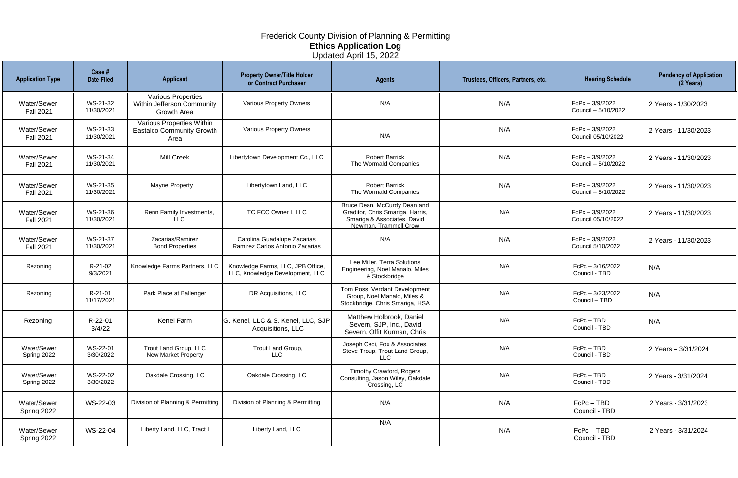| <b>Application Type</b>         | Case #<br><b>Date Filed</b> | <b>Applicant</b>                                                       | <b>Property Owner/Title Holder</b><br>or Contract Purchaser          | <b>Agents</b>                                                                                                            | Trustees, Officers, Partners, etc. | <b>Hearing Schedule</b>                 | <b>Pendency of Application</b><br>(2 Years) |
|---------------------------------|-----------------------------|------------------------------------------------------------------------|----------------------------------------------------------------------|--------------------------------------------------------------------------------------------------------------------------|------------------------------------|-----------------------------------------|---------------------------------------------|
| Water/Sewer<br><b>Fall 2021</b> | WS-21-32<br>11/30/2021      | <b>Various Properties</b><br>Within Jefferson Community<br>Growth Area | Various Property Owners                                              | N/A                                                                                                                      | N/A                                | FcPc - 3/9/2022<br>Council - 5/10/2022  | 2 Years - 1/30/2023                         |
| Water/Sewer<br><b>Fall 2021</b> | WS-21-33<br>11/30/2021      | Various Properties Within<br><b>Eastalco Community Growth</b><br>Area  | Various Property Owners                                              | N/A                                                                                                                      | N/A                                | $FCPC - 3/9/2022$<br>Council 05/10/2022 | 2 Years - 11/30/2023                        |
| Water/Sewer<br><b>Fall 2021</b> | WS-21-34<br>11/30/2021      | <b>Mill Creek</b>                                                      | Libertytown Development Co., LLC                                     | <b>Robert Barrick</b><br>The Wormald Companies                                                                           | N/A                                | FcPc - 3/9/2022<br>Council - 5/10/2022  | 2 Years - 11/30/2023                        |
| Water/Sewer<br><b>Fall 2021</b> | WS-21-35<br>11/30/2021      | Mayne Property                                                         | Libertytown Land, LLC                                                | <b>Robert Barrick</b><br>The Wormald Companies                                                                           | N/A                                | FcPc - 3/9/2022<br>Council - 5/10/2022  | 2 Years - 11/30/2023                        |
| Water/Sewer<br><b>Fall 2021</b> | WS-21-36<br>11/30/2021      | Renn Family Investments,<br><b>LLC</b>                                 | TC FCC Owner I, LLC                                                  | Bruce Dean, McCurdy Dean and<br>Graditor, Chris Smariga, Harris,<br>Smariga & Associates, David<br>Newman, Trammell Crow | N/A                                | FcPc - 3/9/2022<br>Council 05/10/2022   | 2 Years - 11/30/2023                        |
| Water/Sewer<br><b>Fall 2021</b> | WS-21-37<br>11/30/2021      | Zacarias/Ramirez<br><b>Bond Properties</b>                             | Carolina Guadalupe Zacarias<br>Ramirez Carlos Antonio Zacarias       | N/A                                                                                                                      | N/A                                | FcPc - 3/9/2022<br>Council 5/10/2022    | 2 Years - 11/30/2023                        |
| Rezoning                        | R-21-02<br>9/3/2021         | Knowledge Farms Partners, LLC                                          | Knowledge Farms, LLC, JPB Office,<br>LLC, Knowledge Development, LLC | Lee Miller, Terra Solutions<br>Engineering, Noel Manalo, Miles<br>& Stockbridge                                          | N/A                                | FcPc - 3/16/2022<br>Council - TBD       | N/A                                         |
| Rezoning                        | R-21-01<br>11/17/2021       | Park Place at Ballenger                                                | DR Acquisitions, LLC                                                 | Tom Poss, Verdant Development<br>Group, Noel Manalo, Miles &<br>Stockbridge, Chris Smariga, HSA                          | N/A                                | FcPc - 3/23/2022<br>Council - TBD       | N/A                                         |
| Rezoning                        | R-22-01<br>3/4/22           | Kenel Farm                                                             | G. Kenel, LLC & S. Kenel, LLC, SJP<br>Acquisitions, LLC              | Matthew Holbrook, Daniel<br>Severn, SJP, Inc., David<br>Severn, Offit Kurman, Chris                                      | N/A                                | FcPc-TBD<br>Council - TBD               | N/A                                         |
| Water/Sewer<br>Spring 2022      | WS-22-01<br>3/30/2022       | Trout Land Group, LLC<br><b>New Market Property</b>                    | Trout Land Group,<br><b>LLC</b>                                      | Joseph Ceci, Fox & Associates,<br>Steve Troup, Trout Land Group,<br><b>LLC</b>                                           | N/A                                | FcPc-TBD<br>Council - TBD               | 2 Years - 3/31/2024                         |
| Water/Sewer<br>Spring 2022      | WS-22-02<br>3/30/2022       | Oakdale Crossing, LC                                                   | Oakdale Crossing, LC                                                 | <b>Timothy Crawford, Rogers</b><br>Consulting, Jason Wiley, Oakdale<br>Crossing, LC                                      | N/A                                | FcPc-TBD<br>Council - TBD               | 2 Years - 3/31/2024                         |
| Water/Sewer<br>Spring 2022      | WS-22-03                    | Division of Planning & Permitting                                      | Division of Planning & Permitting                                    | N/A                                                                                                                      | N/A                                | $FcPc - TBD$<br>Council - TBD           | 2 Years - 3/31/2023                         |
| Water/Sewer<br>Spring 2022      | WS-22-04                    | Liberty Land, LLC, Tract I                                             | Liberty Land, LLC                                                    | N/A                                                                                                                      | N/A                                | $FcPc - TBD$<br>Council - TBD           | 2 Years - 3/31/2024                         |